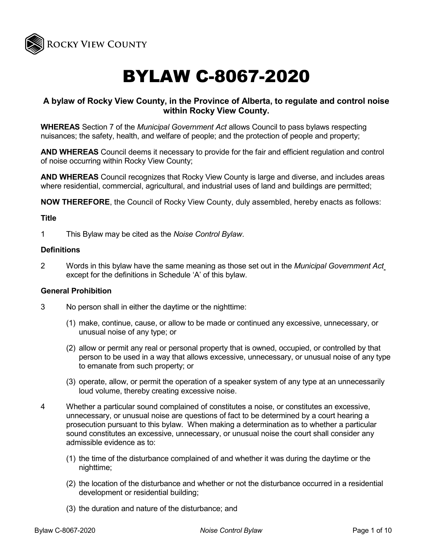

# BYLAW C-8067-2020

# **A bylaw of Rocky View County, in the Province of Alberta, to regulate and control noise within Rocky View County.**

**WHEREAS** Section 7 of the *Municipal Government Act* allows Council to pass bylaws respecting nuisances; the safety, health, and welfare of people; and the protection of people and property;

**AND WHEREAS** Council deems it necessary to provide for the fair and efficient regulation and control of noise occurring within Rocky View County;

**AND WHEREAS** Council recognizes that Rocky View County is large and diverse, and includes areas where residential, commercial, agricultural, and industrial uses of land and buildings are permitted;

**NOW THEREFORE**, the Council of Rocky View County, duly assembled, hereby enacts as follows:

#### **Title**

1 This Bylaw may be cited as the *Noise Control Bylaw*.

#### **Definitions**

2 Words in this bylaw have the same meaning as those set out in the *Municipal Government Act* except for the definitions in Schedule 'A' of this bylaw.

#### **General Prohibition**

- 3 No person shall in either the daytime or the nighttime:
	- (1) make, continue, cause, or allow to be made or continued any excessive, unnecessary, or unusual noise of any type; or
	- (2) allow or permit any real or personal property that is owned, occupied, or controlled by that person to be used in a way that allows excessive, unnecessary, or unusual noise of any type to emanate from such property; or
	- (3) operate, allow, or permit the operation of a speaker system of any type at an unnecessarily loud volume, thereby creating excessive noise.
- 4 Whether a particular sound complained of constitutes a noise, or constitutes an excessive, unnecessary, or unusual noise are questions of fact to be determined by a court hearing a prosecution pursuant to this bylaw. When making a determination as to whether a particular sound constitutes an excessive, unnecessary, or unusual noise the court shall consider any admissible evidence as to:
	- (1) the time of the disturbance complained of and whether it was during the daytime or the nighttime;
	- (2) the location of the disturbance and whether or not the disturbance occurred in a residential development or residential building;
	- (3) the duration and nature of the disturbance; and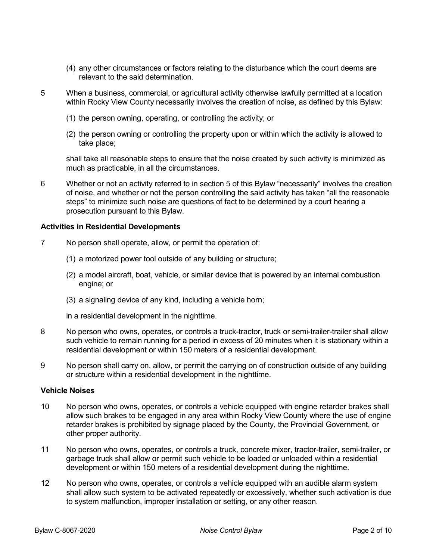- (4) any other circumstances or factors relating to the disturbance which the court deems are relevant to the said determination.
- 5 When a business, commercial, or agricultural activity otherwise lawfully permitted at a location within Rocky View County necessarily involves the creation of noise, as defined by this Bylaw:
	- (1) the person owning, operating, or controlling the activity; or
	- (2) the person owning or controlling the property upon or within which the activity is allowed to take place;

shall take all reasonable steps to ensure that the noise created by such activity is minimized as much as practicable, in all the circumstances.

6 Whether or not an activity referred to in section 5 of this Bylaw "necessarily" involves the creation of noise, and whether or not the person controlling the said activity has taken "all the reasonable steps" to minimize such noise are questions of fact to be determined by a court hearing a prosecution pursuant to this Bylaw.

#### **Activities in Residential Developments**

- 7 No person shall operate, allow, or permit the operation of:
	- (1) a motorized power tool outside of any building or structure;
	- (2) a model aircraft, boat, vehicle, or similar device that is powered by an internal combustion engine; or
	- (3) a signaling device of any kind, including a vehicle horn;

in a residential development in the nighttime.

- 8 No person who owns, operates, or controls a truck-tractor, truck or semi-trailer-trailer shall allow such vehicle to remain running for a period in excess of 20 minutes when it is stationary within a residential development or within 150 meters of a residential development.
- 9 No person shall carry on, allow, or permit the carrying on of construction outside of any building or structure within a residential development in the nighttime.

#### **Vehicle Noises**

- 10 No person who owns, operates, or controls a vehicle equipped with engine retarder brakes shall allow such brakes to be engaged in any area within Rocky View County where the use of engine retarder brakes is prohibited by signage placed by the County, the Provincial Government, or other proper authority.
- 11 No person who owns, operates, or controls a truck, concrete mixer, tractor-trailer, semi-trailer, or garbage truck shall allow or permit such vehicle to be loaded or unloaded within a residential development or within 150 meters of a residential development during the nighttime.
- 12 No person who owns, operates, or controls a vehicle equipped with an audible alarm system shall allow such system to be activated repeatedly or excessively, whether such activation is due to system malfunction, improper installation or setting, or any other reason.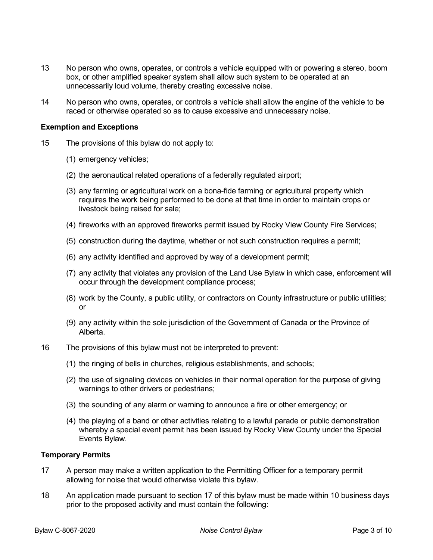- 13 No person who owns, operates, or controls a vehicle equipped with or powering a stereo, boom box, or other amplified speaker system shall allow such system to be operated at an unnecessarily loud volume, thereby creating excessive noise.
- 14 No person who owns, operates, or controls a vehicle shall allow the engine of the vehicle to be raced or otherwise operated so as to cause excessive and unnecessary noise.

#### **Exemption and Exceptions**

- 15 The provisions of this bylaw do not apply to:
	- (1) emergency vehicles;
	- (2) the aeronautical related operations of a federally regulated airport;
	- (3) any farming or agricultural work on a bona-fide farming or agricultural property which requires the work being performed to be done at that time in order to maintain crops or livestock being raised for sale;
	- (4) fireworks with an approved fireworks permit issued by Rocky View County Fire Services;
	- (5) construction during the daytime, whether or not such construction requires a permit;
	- (6) any activity identified and approved by way of a development permit;
	- (7) any activity that violates any provision of the Land Use Bylaw in which case, enforcement will occur through the development compliance process;
	- (8) work by the County, a public utility, or contractors on County infrastructure or public utilities; or
	- (9) any activity within the sole jurisdiction of the Government of Canada or the Province of Alberta.
- 16 The provisions of this bylaw must not be interpreted to prevent:
	- (1) the ringing of bells in churches, religious establishments, and schools;
	- (2) the use of signaling devices on vehicles in their normal operation for the purpose of giving warnings to other drivers or pedestrians;
	- (3) the sounding of any alarm or warning to announce a fire or other emergency; or
	- (4) the playing of a band or other activities relating to a lawful parade or public demonstration whereby a special event permit has been issued by Rocky View County under the Special Events Bylaw.

#### **Temporary Permits**

- 17 A person may make a written application to the Permitting Officer for a temporary permit allowing for noise that would otherwise violate this bylaw.
- 18 An application made pursuant to section 17 of this bylaw must be made within 10 business days prior to the proposed activity and must contain the following: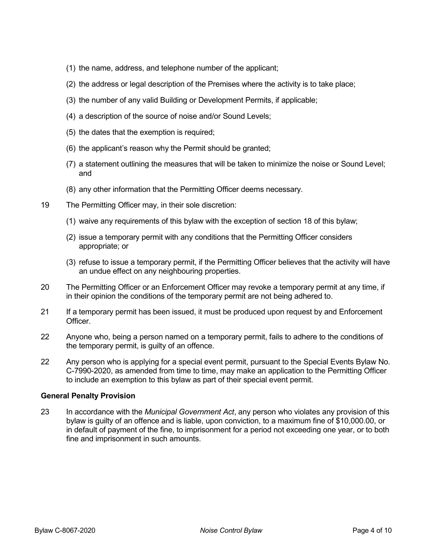- (1) the name, address, and telephone number of the applicant;
- (2) the address or legal description of the Premises where the activity is to take place;
- (3) the number of any valid Building or Development Permits, if applicable;
- (4) a description of the source of noise and/or Sound Levels;
- (5) the dates that the exemption is required;
- (6) the applicant's reason why the Permit should be granted;
- (7) a statement outlining the measures that will be taken to minimize the noise or Sound Level; and
- (8) any other information that the Permitting Officer deems necessary.
- 19 The Permitting Officer may, in their sole discretion:
	- (1) waive any requirements of this bylaw with the exception of section 18 of this bylaw;
	- (2) issue a temporary permit with any conditions that the Permitting Officer considers appropriate; or
	- (3) refuse to issue a temporary permit, if the Permitting Officer believes that the activity will have an undue effect on any neighbouring properties.
- 20 The Permitting Officer or an Enforcement Officer may revoke a temporary permit at any time, if in their opinion the conditions of the temporary permit are not being adhered to.
- 21 If a temporary permit has been issued, it must be produced upon request by and Enforcement **Officer**
- 22 Anyone who, being a person named on a temporary permit, fails to adhere to the conditions of the temporary permit, is guilty of an offence.
- 22 Any person who is applying for a special event permit, pursuant to the Special Events Bylaw No. C-7990-2020, as amended from time to time, may make an application to the Permitting Officer to include an exemption to this bylaw as part of their special event permit.

#### **General Penalty Provision**

23 In accordance with the *Municipal Government Act*, any person who violates any provision of this bylaw is guilty of an offence and is liable, upon conviction, to a maximum fine of \$10,000.00, or in default of payment of the fine, to imprisonment for a period not exceeding one year, or to both fine and imprisonment in such amounts.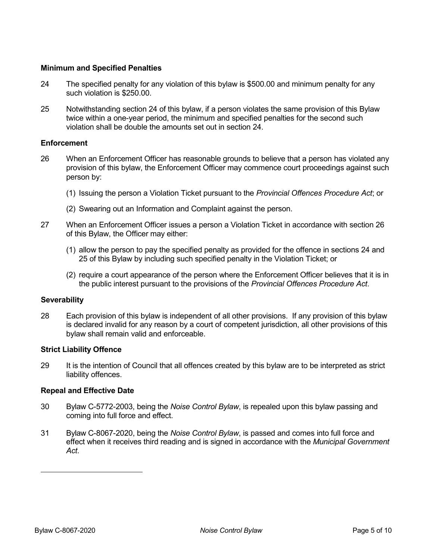### **Minimum and Specified Penalties**

- 24 The specified penalty for any violation of this bylaw is \$500.00 and minimum penalty for any such violation is \$250.00.
- 25 Notwithstanding section 24 of this bylaw, if a person violates the same provision of this Bylaw twice within a one-year period, the minimum and specified penalties for the second such violation shall be double the amounts set out in section 24.

#### **Enforcement**

- 26 When an Enforcement Officer has reasonable grounds to believe that a person has violated any provision of this bylaw, the Enforcement Officer may commence court proceedings against such person by:
	- (1) Issuing the person a Violation Ticket pursuant to the *Provincial Offences Procedure Act*; or
	- (2) Swearing out an Information and Complaint against the person.
- 27 When an Enforcement Officer issues a person a Violation Ticket in accordance with section 26 of this Bylaw, the Officer may either:
	- (1) allow the person to pay the specified penalty as provided for the offence in sections 24 and 25 of this Bylaw by including such specified penalty in the Violation Ticket; or
	- (2) require a court appearance of the person where the Enforcement Officer believes that it is in the public interest pursuant to the provisions of the *Provincial Offences Procedure Act*.

#### **Severability**

28 Each provision of this bylaw is independent of all other provisions. If any provision of this bylaw is declared invalid for any reason by a court of competent jurisdiction, all other provisions of this bylaw shall remain valid and enforceable.

#### **Strict Liability Offence**

29 It is the intention of Council that all offences created by this bylaw are to be interpreted as strict liability offences.

#### **Repeal and Effective Date**

- 30 Bylaw C-5772-2003, being the *Noise Control Bylaw*, is repealed upon this bylaw passing and coming into full force and effect.
- 31 Bylaw C-8067-2020, being the *Noise Control Bylaw*, is passed and comes into full force and effect when it receives third reading and is signed in accordance with the *Municipal Government Act*.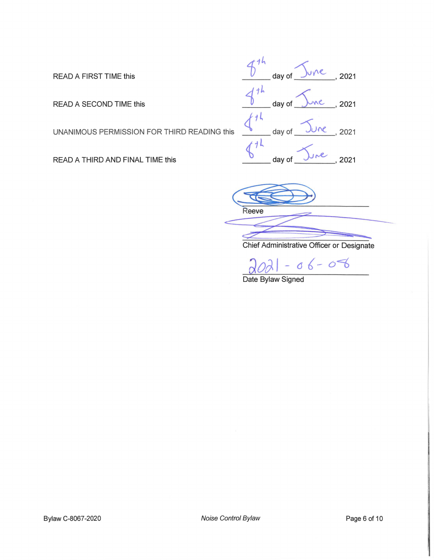READ A FIRST TIME this

READ A SECOND TIME this

UNANIMOUS PERMISSION FOR THIRD READING this

READ A THIRD AND FINAL TIME this



Reeve

Chief Administrative Officer or Designate

 $06 - 08$ 

Date Bylaw Signed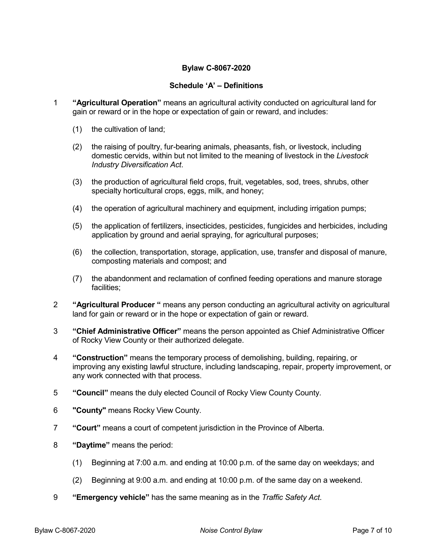## **Bylaw C-8067-2020**

#### **Schedule 'A' – Definitions**

- 1 **"Agricultural Operation"** means an agricultural activity conducted on agricultural land for gain or reward or in the hope or expectation of gain or reward, and includes:
	- (1) the cultivation of land;
	- (2) the raising of poultry, fur-bearing animals, pheasants, fish, or livestock, including domestic cervids, within but not limited to the meaning of livestock in the *Livestock Industry Diversification Act*.
	- (3) the production of agricultural field crops, fruit, vegetables, sod, trees, shrubs, other specialty horticultural crops, eggs, milk, and honey;
	- (4) the operation of agricultural machinery and equipment, including irrigation pumps;
	- (5) the application of fertilizers, insecticides, pesticides, fungicides and herbicides, including application by ground and aerial spraying, for agricultural purposes;
	- (6) the collection, transportation, storage, application, use, transfer and disposal of manure, composting materials and compost; and
	- (7) the abandonment and reclamation of confined feeding operations and manure storage facilities;
- 2 **"Agricultural Producer "** means any person conducting an agricultural activity on agricultural land for gain or reward or in the hope or expectation of gain or reward.
- 3 **"Chief Administrative Officer"** means the person appointed as Chief Administrative Officer of Rocky View County or their authorized delegate.
- 4 **"Construction"** means the temporary process of demolishing, building, repairing, or improving any existing lawful structure, including landscaping, repair, property improvement, or any work connected with that process.
- 5 **"Council"** means the duly elected Council of Rocky View County County.
- 6 **"County"** means Rocky View County.
- 7 **"Court"** means a court of competent jurisdiction in the Province of Alberta.
- 8 **"Daytime"** means the period:
	- (1) Beginning at 7:00 a.m. and ending at 10:00 p.m. of the same day on weekdays; and
	- (2) Beginning at 9:00 a.m. and ending at 10:00 p.m. of the same day on a weekend.
- 9 **"Emergency vehicle"** has the same meaning as in the *Traffic Safety Act*.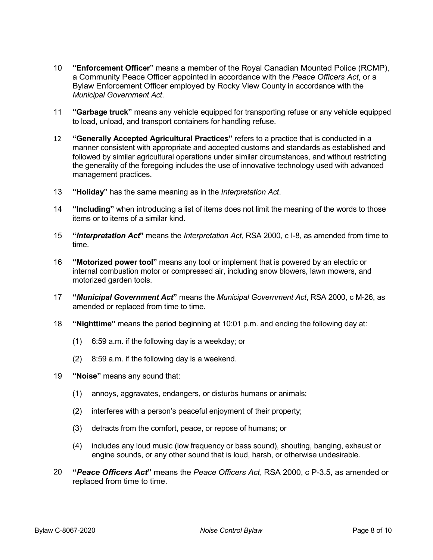- 10 **"Enforcement Officer"** means a member of the Royal Canadian Mounted Police (RCMP), a Community Peace Officer appointed in accordance with the *Peace Officers Act*, or a Bylaw Enforcement Officer employed by Rocky View County in accordance with the *Municipal Government Act*.
- 11 **"Garbage truck"** means any vehicle equipped for transporting refuse or any vehicle equipped to load, unload, and transport containers for handling refuse.
- 12 **"Generally Accepted Agricultural Practices"** refers to a practice that is conducted in a manner consistent with appropriate and accepted customs and standards as established and followed by similar agricultural operations under similar circumstances, and without restricting the generality of the foregoing includes the use of innovative technology used with advanced management practices.
- 13 **"Holiday"** has the same meaning as in the *Interpretation Act*.
- 14 **"Including"** when introducing a list of items does not limit the meaning of the words to those items or to items of a similar kind.
- 15 **"***Interpretation Act***"** means the *Interpretation Act*, RSA 2000, c I-8, as amended from time to time.
- 16 **"Motorized power tool"** means any tool or implement that is powered by an electric or internal combustion motor or compressed air, including snow blowers, lawn mowers, and motorized garden tools.
- 17 **"***Municipal Government Act***"** means the *Municipal Government Act*, RSA 2000, c M-26, as amended or replaced from time to time.
- 18 **"Nighttime"** means the period beginning at 10:01 p.m. and ending the following day at:
	- (1) 6:59 a.m. if the following day is a weekday; or
	- (2) 8:59 a.m. if the following day is a weekend.
- 19 **"Noise"** means any sound that:
	- (1) annoys, aggravates, endangers, or disturbs humans or animals;
	- (2) interferes with a person's peaceful enjoyment of their property;
	- (3) detracts from the comfort, peace, or repose of humans; or
	- (4) includes any loud music (low frequency or bass sound), shouting, banging, exhaust or engine sounds, or any other sound that is loud, harsh, or otherwise undesirable.
- 20 **"***Peace Officers Act***"** means the *Peace Officers Act*, RSA 2000, c P-3.5, as amended or replaced from time to time.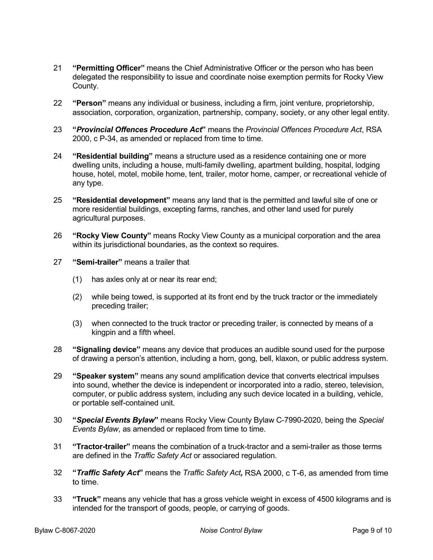- 21 **"Permitting Officer"** means the Chief Administrative Officer or the person who has been delegated the responsibility to issue and coordinate noise exemption permits for Rocky View County.
- 22 **"Person"** means any individual or business, including a firm, joint venture, proprietorship, association, corporation, organization, partnership, company, society, or any other legal entity.
- 23 **"***Provincial Offences Procedure Act***"** means the *Provincial Offences Procedure Act*, RSA 2000, c P-34, as amended or replaced from time to time.
- 24 **"Residential building"** means a structure used as a residence containing one or more dwelling units, including a house, multi-family dwelling, apartment building, hospital, lodging house, hotel, motel, mobile home, tent, trailer, motor home, camper, or recreational vehicle of any type.
- 25 **"Residential development"** means any land that is the permitted and lawful site of one or more residential buildings, excepting farms, ranches, and other land used for purely agricultural purposes.
- 26 **"Rocky View County"** means Rocky View County as a municipal corporation and the area within its jurisdictional boundaries, as the context so requires.
- 27 **"Semi-trailer"** means a trailer that
	- (1) has axles only at or near its rear end;
	- (2) while being towed, is supported at its front end by the truck tractor or the immediately preceding trailer;
	- (3) when connected to the truck tractor or preceding trailer, is connected by means of a kingpin and a fifth wheel.
- 28 **"Signaling device"** means any device that produces an audible sound used for the purpose of drawing a person's attention, including a horn, gong, bell, klaxon, or public address system.
- 29 **"Speaker system"** means any sound amplification device that converts electrical impulses into sound, whether the device is independent or incorporated into a radio, stereo, television, computer, or public address system, including any such device located in a building, vehicle, or portable self-contained unit.
- 30 **"***Special Events Bylaw***"** means Rocky View County Bylaw C-7990-2020, being the *Special Events Bylaw*, as amended or replaced from time to time.
- 31 **"Tractor-trailer"** means the combination of a truck-tractor and a semi-trailer as those terms are defined in the *Traffic Safety Act* or associared regulation.
- 32 **"***Traffic Safety Act***"** means the *Traffic Safety Act,* RSA 2000, c T-6, as amended from time to time.
- 33 **"Truck"** means any vehicle that has a gross vehicle weight in excess of 4500 kilograms and is intended for the transport of goods, people, or carrying of goods.